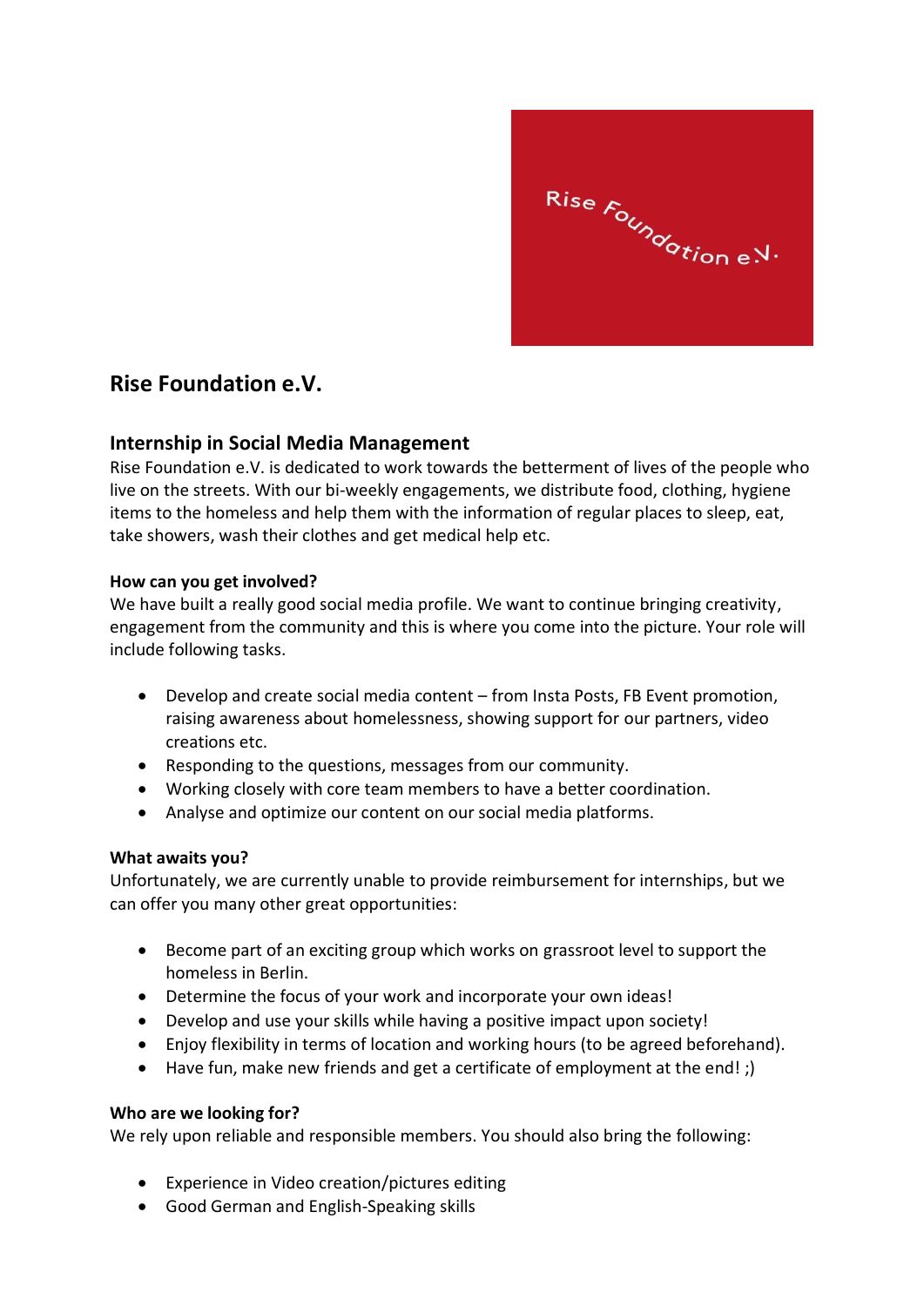

# **Rise Foundation e.V.**

## **Internship in Social Media Management**

Rise Foundation e.V. is dedicated to work towards the betterment of lives of the people who live on the streets. With our bi-weekly engagements, we distribute food, clothing, hygiene items to the homeless and help them with the information of regular places to sleep, eat, take showers, wash their clothes and get medical help etc.

### **How can you get involved?**

We have built a really good social media profile. We want to continue bringing creativity, engagement from the community and this is where you come into the picture. Your role will include following tasks.

- Develop and create social media content from Insta Posts, FB Event promotion, raising awareness about homelessness, showing support for our partners, video creations etc.
- Responding to the questions, messages from our community.
- Working closely with core team members to have a better coordination.
- Analyse and optimize our content on our social media platforms.

### **What awaits you?**

Unfortunately, we are currently unable to provide reimbursement for internships, but we can offer you many other great opportunities:

- Become part of an exciting group which works on grassroot level to support the homeless in Berlin.
- Determine the focus of your work and incorporate your own ideas!
- Develop and use your skills while having a positive impact upon society!
- Enjoy flexibility in terms of location and working hours (to be agreed beforehand).
- Have fun, make new friends and get a certificate of employment at the end! ;)

### **Who are we looking for?**

We rely upon reliable and responsible members. You should also bring the following:

- Experience in Video creation/pictures editing
- Good German and English-Speaking skills